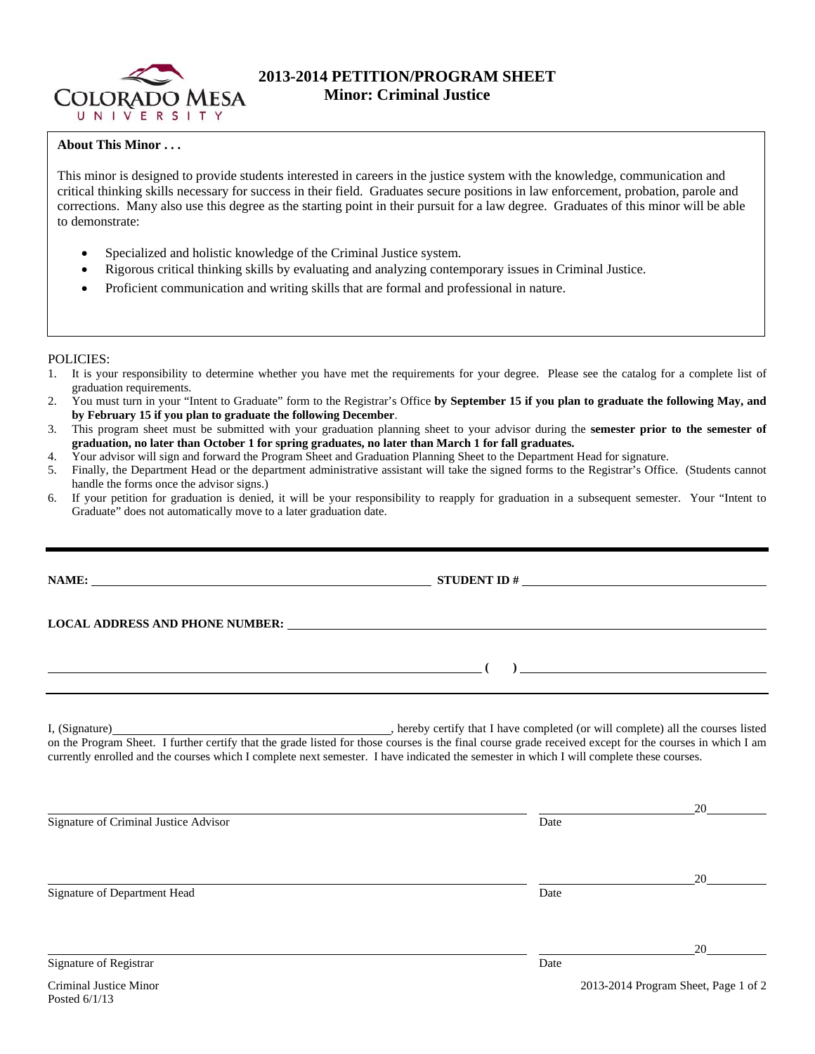

# **2013-2014 PETITION/PROGRAM SHEET Minor: Criminal Justice**

## **About This Minor . . .**

This minor is designed to provide students interested in careers in the justice system with the knowledge, communication and critical thinking skills necessary for success in their field. Graduates secure positions in law enforcement, probation, parole and corrections. Many also use this degree as the starting point in their pursuit for a law degree. Graduates of this minor will be able to demonstrate:

- Specialized and holistic knowledge of the Criminal Justice system.
- Rigorous critical thinking skills by evaluating and analyzing contemporary issues in Criminal Justice.
- Proficient communication and writing skills that are formal and professional in nature.

### POLICIES:

- 1. It is your responsibility to determine whether you have met the requirements for your degree. Please see the catalog for a complete list of graduation requirements.
- 2. You must turn in your "Intent to Graduate" form to the Registrar's Office **by September 15 if you plan to graduate the following May, and by February 15 if you plan to graduate the following December**.
- 3. This program sheet must be submitted with your graduation planning sheet to your advisor during the **semester prior to the semester of graduation, no later than October 1 for spring graduates, no later than March 1 for fall graduates.**
- 4. Your advisor will sign and forward the Program Sheet and Graduation Planning Sheet to the Department Head for signature.
- 5. Finally, the Department Head or the department administrative assistant will take the signed forms to the Registrar's Office. (Students cannot handle the forms once the advisor signs.)
- 6. If your petition for graduation is denied, it will be your responsibility to reapply for graduation in a subsequent semester. Your "Intent to Graduate" does not automatically move to a later graduation date.

| NAME:                                 |                                                                                                                                                                                                                                                                                                     |    |
|---------------------------------------|-----------------------------------------------------------------------------------------------------------------------------------------------------------------------------------------------------------------------------------------------------------------------------------------------------|----|
|                                       | LOCAL ADDRESS AND PHONE NUMBER: University of the contract of the contract of the contract of the contract of                                                                                                                                                                                       |    |
|                                       | $\overline{a}$ (b) and the contract of $\overline{a}$ (c) and the contract of $\overline{a}$ (c) and $\overline{a}$ (c) and $\overline{a}$ (c) and $\overline{a}$ (c) and $\overline{a}$ (c) and $\overline{a}$ (c) and $\overline{a}$ (c) and $\overline{a}$ (c) and $\overline{a}$ (c) and $\$    |    |
|                                       | on the Program Sheet. I further certify that the grade listed for those courses is the final course grade received except for the courses in which I am<br>currently enrolled and the courses which I complete next semester. I have indicated the semester in which I will complete these courses. |    |
| Signature of Criminal Justice Advisor | Date                                                                                                                                                                                                                                                                                                | 20 |
| Signature of Department Head          | Date                                                                                                                                                                                                                                                                                                |    |
|                                       |                                                                                                                                                                                                                                                                                                     | 20 |

Signature of Registrar Date Date of Registrar Date of Registrar Date Date of Registrar Date Date of Registrar D